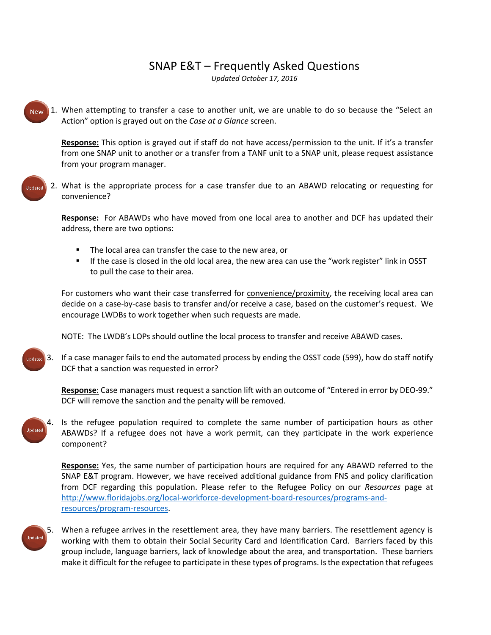## SNAP E&T – Frequently Asked Questions

*Updated October 17, 2016*



Updated

1. When attempting to transfer a case to another unit, we are unable to do so because the "Select an Action" option is grayed out on the *Case at a Glance* screen.

**Response:** This option is grayed out if staff do not have access/permission to the unit. If it's a transfer from one SNAP unit to another or a transfer from a TANF unit to a SNAP unit, please request assistance from your program manager.

2. What is the appropriate process for a case transfer due to an ABAWD relocating or requesting for convenience?

**Response:** For ABAWDs who have moved from one local area to another and DCF has updated their address, there are two options:

- The local area can transfer the case to the new area, or
- If the case is closed in the old local area, the new area can use the "work register" link in OSST to pull the case to their area.

For customers who want their case transferred for convenience/proximity, the receiving local area can decide on a case-by-case basis to transfer and/or receive a case, based on the customer's request. We encourage LWDBs to work together when such requests are made.

NOTE: The LWDB's LOPs should outline the local process to transfer and receive ABAWD cases.

3. If a case manager fails to end the automated process by ending the OSST code (599), how do staff notify DCF that a sanction was requested in error?

**Response**: Case managers must request a sanction lift with an outcome of "Entered in error by DEO-99." DCF will remove the sanction and the penalty will be removed.



4. Is the refugee population required to complete the same number of participation hours as other ABAWDs? If a refugee does not have a work permit, can they participate in the work experience component?

**Response:** Yes, the same number of participation hours are required for any ABAWD referred to the SNAP E&T program. However, we have received additional guidance from FNS and policy clarification from DCF regarding this population. Please refer to the Refugee Policy on our *Resources* page at [http://www.floridajobs.org/local-workforce-development-board-resources/programs-and](http://www.floridajobs.org/local-workforce-development-board-resources/programs-and-resources/program-resources)[resources/program-resources.](http://www.floridajobs.org/local-workforce-development-board-resources/programs-and-resources/program-resources)

Updated

5. When a refugee arrives in the resettlement area, they have many barriers. The resettlement agency is working with them to obtain their Social Security Card and Identification Card. Barriers faced by this group include, language barriers, lack of knowledge about the area, and transportation. These barriers make it difficult for the refugee to participate in these types of programs. Is the expectation that refugees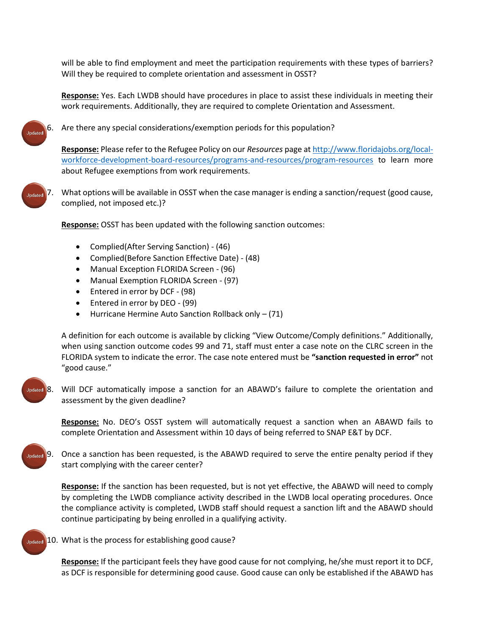will be able to find employment and meet the participation requirements with these types of barriers? Will they be required to complete orientation and assessment in OSST?

**Response:** Yes. Each LWDB should have procedures in place to assist these individuals in meeting their work requirements. Additionally, they are required to complete Orientation and Assessment.



Are there any special considerations/exemption periods for this population?

**Response:** Please refer to the Refugee Policy on our *Resources* page a[t http://www.floridajobs.org/local](http://www.floridajobs.org/local-workforce-development-board-resources/programs-and-resources/program-resources)[workforce-development-board-resources/programs-and-resources/program-resources](http://www.floridajobs.org/local-workforce-development-board-resources/programs-and-resources/program-resources) to learn more about Refugee exemptions from work requirements.



7. What options will be available in OSST when the case manager is ending a sanction/request (good cause, complied, not imposed etc.)?

**Response:** OSST has been updated with the following sanction outcomes:

- Complied(After Serving Sanction) (46)
- Complied(Before Sanction Effective Date) (48)
- Manual Exception FLORIDA Screen (96)
- Manual Exemption FLORIDA Screen (97)
- Entered in error by DCF (98)
- Entered in error by DEO (99)
- Hurricane Hermine Auto Sanction Rollback only (71)

A definition for each outcome is available by clicking "View Outcome/Comply definitions." Additionally, when using sanction outcome codes 99 and 71, staff must enter a case note on the CLRC screen in the FLORIDA system to indicate the error. The case note entered must be **"sanction requested in error"** not "good cause."



Will DCF automatically impose a sanction for an ABAWD's failure to complete the orientation and assessment by the given deadline?

**Response:** No. DEO's OSST system will automatically request a sanction when an ABAWD fails to complete Orientation and Assessment within 10 days of being referred to SNAP E&T by DCF.



9. Once a sanction has been requested, is the ABAWD required to serve the entire penalty period if they start complying with the career center?

**Response:** If the sanction has been requested, but is not yet effective, the ABAWD will need to comply by completing the LWDB compliance activity described in the LWDB local operating procedures. Once the compliance activity is completed, LWDB staff should request a sanction lift and the ABAWD should continue participating by being enrolled in a qualifying activity.



Updated 10. What is the process for establishing good cause?

**Response:** If the participant feels they have good cause for not complying, he/she must report it to DCF, as DCF is responsible for determining good cause. Good cause can only be established if the ABAWD has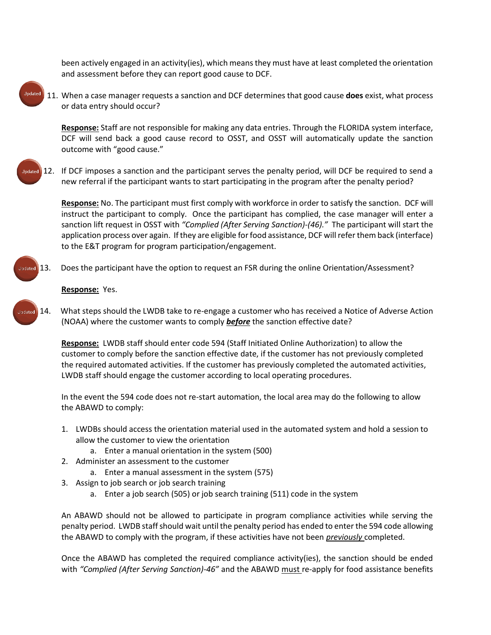been actively engaged in an activity(ies), which means they must have at least completed the orientation and assessment before they can report good cause to DCF.



11. When a case manager requests a sanction and DCF determines that good cause **does** exist, what process or data entry should occur?

**Response:** Staff are not responsible for making any data entries. Through the FLORIDA system interface, DCF will send back a good cause record to OSST, and OSST will automatically update the sanction outcome with "good cause."

Jodated

12. If DCF imposes a sanction and the participant serves the penalty period, will DCF be required to send a new referral if the participant wants to start participating in the program after the penalty period?

**Response:** No. The participant must first comply with workforce in order to satisfy the sanction. DCF will instruct the participant to comply. Once the participant has complied, the case manager will enter a sanction lift request in OSST with *"Complied (After Serving Sanction)-(46)."* The participant will start the application process over again. If they are eligible for food assistance, DCF will refer them back (interface) to the E&T program for program participation/engagement.

13. Does the participant have the option to request an FSR during the online Orientation/Assessment?

**Response:** Yes.

14. What steps should the LWDB take to re-engage a customer who has received a Notice of Adverse Action hetchall (NOAA) where the customer wants to comply *before* the sanction effective date?

> **Response:** LWDB staff should enter code 594 (Staff Initiated Online Authorization) to allow the customer to comply before the sanction effective date, if the customer has not previously completed the required automated activities. If the customer has previously completed the automated activities, LWDB staff should engage the customer according to local operating procedures.

In the event the 594 code does not re-start automation, the local area may do the following to allow the ABAWD to comply:

- 1. LWDBs should access the orientation material used in the automated system and hold a session to allow the customer to view the orientation
	- a. Enter a manual orientation in the system (500)
- 2. Administer an assessment to the customer
	- a. Enter a manual assessment in the system (575)
- 3. Assign to job search or job search training
	- a. Enter a job search (505) or job search training (511) code in the system

An ABAWD should not be allowed to participate in program compliance activities while serving the penalty period. LWDB staff should wait until the penalty period has ended to enter the 594 code allowing the ABAWD to comply with the program, if these activities have not been *previously* completed.

Once the ABAWD has completed the required compliance activity(ies), the sanction should be ended with *"Complied (After Serving Sanction)-46"* and the ABAWD must re-apply for food assistance benefits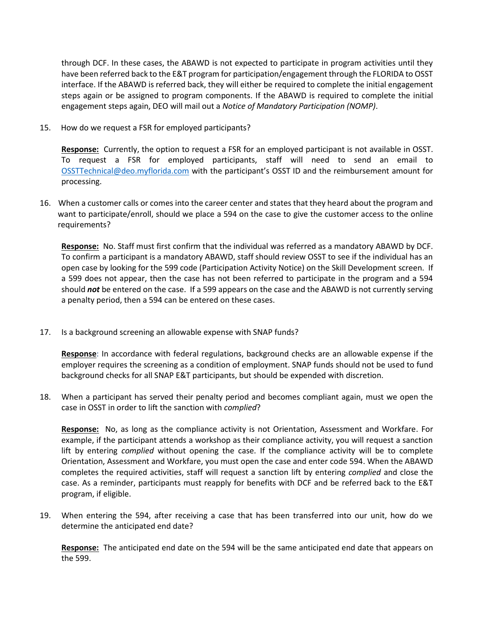through DCF. In these cases, the ABAWD is not expected to participate in program activities until they have been referred back to the E&T program for participation/engagement through the FLORIDA to OSST interface. If the ABAWD is referred back, they will either be required to complete the initial engagement steps again or be assigned to program components. If the ABAWD is required to complete the initial engagement steps again, DEO will mail out a *Notice of Mandatory Participation (NOMP)*.

15. How do we request a FSR for employed participants?

**Response:** Currently, the option to request a FSR for an employed participant is not available in OSST. To request a FSR for employed participants, staff will need to send an email to [OSSTTechnical@deo.myflorida.com](mailto:Telly.Buckles@deo.myflorida.com) with the participant's OSST ID and the reimbursement amount for processing.

16. When a customer calls or comes into the career center and states that they heard about the program and want to participate/enroll, should we place a 594 on the case to give the customer access to the online requirements?

**Response:** No. Staff must first confirm that the individual was referred as a mandatory ABAWD by DCF. To confirm a participant is a mandatory ABAWD, staff should review OSST to see if the individual has an open case by looking for the 599 code (Participation Activity Notice) on the Skill Development screen. If a 599 does not appear, then the case has not been referred to participate in the program and a 594 should *not* be entered on the case. If a 599 appears on the case and the ABAWD is not currently serving a penalty period, then a 594 can be entered on these cases.

17. Is a background screening an allowable expense with SNAP funds?

**Response**: In accordance with federal regulations, background checks are an allowable expense if the employer requires the screening as a condition of employment. SNAP funds should not be used to fund background checks for all SNAP E&T participants, but should be expended with discretion.

18. When a participant has served their penalty period and becomes compliant again, must we open the case in OSST in order to lift the sanction with *complied*?

**Response:** No, as long as the compliance activity is not Orientation, Assessment and Workfare. For example, if the participant attends a workshop as their compliance activity, you will request a sanction lift by entering *complied* without opening the case. If the compliance activity will be to complete Orientation, Assessment and Workfare, you must open the case and enter code 594. When the ABAWD completes the required activities, staff will request a sanction lift by entering *complied* and close the case. As a reminder, participants must reapply for benefits with DCF and be referred back to the E&T program, if eligible.

19. When entering the 594, after receiving a case that has been transferred into our unit, how do we determine the anticipated end date?

**Response:** The anticipated end date on the 594 will be the same anticipated end date that appears on the 599.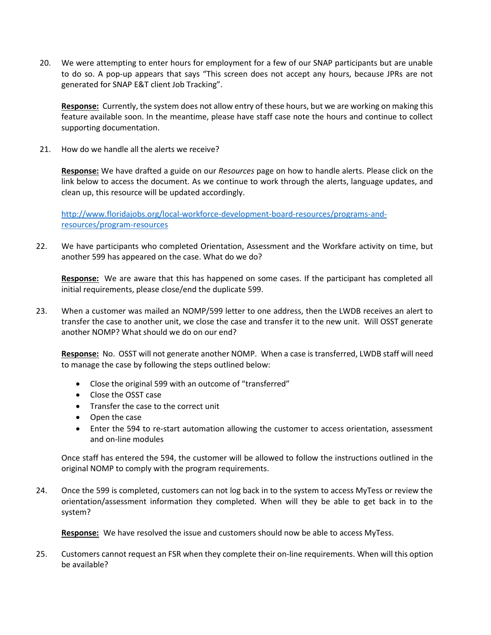20. We were attempting to enter hours for employment for a few of our SNAP participants but are unable to do so. A pop-up appears that says "This screen does not accept any hours, because JPRs are not generated for SNAP E&T client Job Tracking".

**Response:** Currently, the system does not allow entry of these hours, but we are working on making this feature available soon. In the meantime, please have staff case note the hours and continue to collect supporting documentation.

21. How do we handle all the alerts we receive?

**Response:** We have drafted a guide on our *Resources* page on how to handle alerts. Please click on the link below to access the document. As we continue to work through the alerts, language updates, and clean up, this resource will be updated accordingly.

[http://www.floridajobs.org/local-workforce-development-board-resources/programs-and](http://www.floridajobs.org/local-workforce-development-board-resources/programs-and-resources/program-resources)[resources/program-resources](http://www.floridajobs.org/local-workforce-development-board-resources/programs-and-resources/program-resources)

22. We have participants who completed Orientation, Assessment and the Workfare activity on time, but another 599 has appeared on the case. What do we do?

**Response:** We are aware that this has happened on some cases. If the participant has completed all initial requirements, please close/end the duplicate 599.

23. When a customer was mailed an NOMP/599 letter to one address, then the LWDB receives an alert to transfer the case to another unit, we close the case and transfer it to the new unit. Will OSST generate another NOMP? What should we do on our end?

**Response:** No. OSST will not generate another NOMP. When a case is transferred, LWDB staff will need to manage the case by following the steps outlined below:

- Close the original 599 with an outcome of "transferred"
- Close the OSST case
- Transfer the case to the correct unit
- Open the case
- Enter the 594 to re-start automation allowing the customer to access orientation, assessment and on-line modules

Once staff has entered the 594, the customer will be allowed to follow the instructions outlined in the original NOMP to comply with the program requirements.

24. Once the 599 is completed, customers can not log back in to the system to access MyTess or review the orientation/assessment information they completed. When will they be able to get back in to the system?

**Response:** We have resolved the issue and customers should now be able to access MyTess.

25. Customers cannot request an FSR when they complete their on-line requirements. When will this option be available?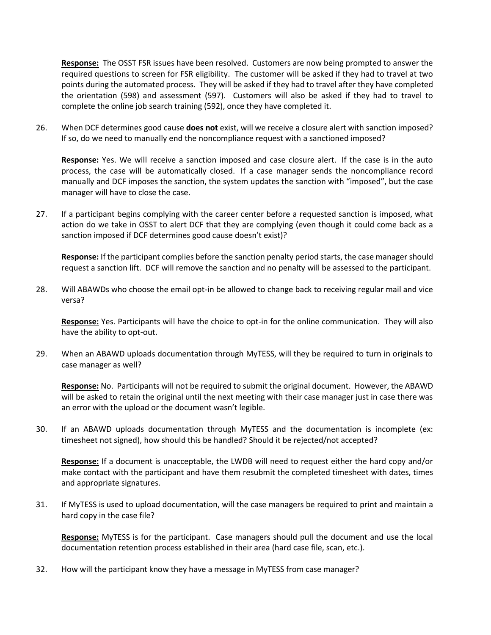**Response:** The OSST FSR issues have been resolved. Customers are now being prompted to answer the required questions to screen for FSR eligibility. The customer will be asked if they had to travel at two points during the automated process.They will be asked if they had to travel after they have completed the orientation (598) and assessment (597). Customers will also be asked if they had to travel to complete the online job search training (592), once they have completed it.

26. When DCF determines good cause **does not** exist, will we receive a closure alert with sanction imposed? If so, do we need to manually end the noncompliance request with a sanctioned imposed?

**Response:** Yes. We will receive a sanction imposed and case closure alert. If the case is in the auto process, the case will be automatically closed. If a case manager sends the noncompliance record manually and DCF imposes the sanction, the system updates the sanction with "imposed", but the case manager will have to close the case.

27. If a participant begins complying with the career center before a requested sanction is imposed, what action do we take in OSST to alert DCF that they are complying (even though it could come back as a sanction imposed if DCF determines good cause doesn't exist)?

**Response:** If the participant complies before the sanction penalty period starts, the case manager should request a sanction lift. DCF will remove the sanction and no penalty will be assessed to the participant.

28. Will ABAWDs who choose the email opt-in be allowed to change back to receiving regular mail and vice versa?

**Response:** Yes. Participants will have the choice to opt-in for the online communication. They will also have the ability to opt-out.

29. When an ABAWD uploads documentation through MyTESS, will they be required to turn in originals to case manager as well?

**Response:** No. Participants will not be required to submit the original document. However, the ABAWD will be asked to retain the original until the next meeting with their case manager just in case there was an error with the upload or the document wasn't legible.

30. If an ABAWD uploads documentation through MyTESS and the documentation is incomplete (ex: timesheet not signed), how should this be handled? Should it be rejected/not accepted?

**Response:** If a document is unacceptable, the LWDB will need to request either the hard copy and/or make contact with the participant and have them resubmit the completed timesheet with dates, times and appropriate signatures.

31. If MyTESS is used to upload documentation, will the case managers be required to print and maintain a hard copy in the case file?

**Response:** MyTESS is for the participant. Case managers should pull the document and use the local documentation retention process established in their area (hard case file, scan, etc.).

32. How will the participant know they have a message in MyTESS from case manager?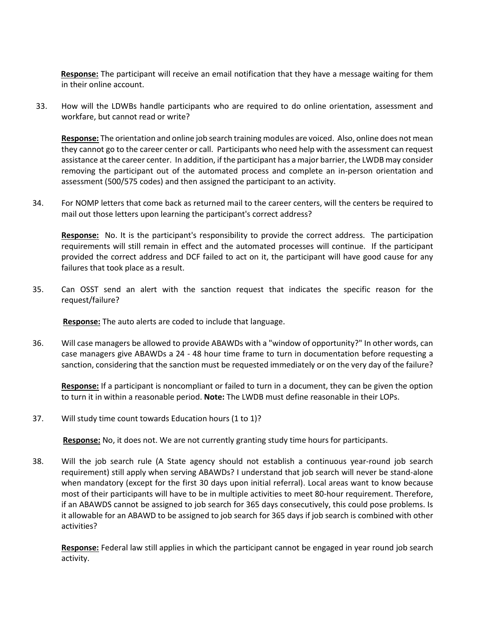**Response:** The participant will receive an email notification that they have a message waiting for them in their online account.

33. How will the LDWBs handle participants who are required to do online orientation, assessment and workfare, but cannot read or write?

**Response:** The orientation and online job search training modules are voiced. Also, online does not mean they cannot go to the career center or call. Participants who need help with the assessment can request assistance at the career center. In addition, if the participant has a major barrier, the LWDB may consider removing the participant out of the automated process and complete an in-person orientation and assessment (500/575 codes) and then assigned the participant to an activity.

34. For NOMP letters that come back as returned mail to the career centers, will the centers be required to mail out those letters upon learning the participant's correct address?

**Response:** No. It is the participant's responsibility to provide the correct address. The participation requirements will still remain in effect and the automated processes will continue. If the participant provided the correct address and DCF failed to act on it, the participant will have good cause for any failures that took place as a result.

35. Can OSST send an alert with the sanction request that indicates the specific reason for the request/failure?

 **Response:** The auto alerts are coded to include that language.

36. Will case managers be allowed to provide ABAWDs with a "window of opportunity?" In other words, can case managers give ABAWDs a 24 - 48 hour time frame to turn in documentation before requesting a sanction, considering that the sanction must be requested immediately or on the very day of the failure?

**Response:** If a participant is noncompliant or failed to turn in a document, they can be given the option to turn it in within a reasonable period. **Note:** The LWDB must define reasonable in their LOPs.

37. Will study time count towards Education hours (1 to 1)?

 **Response:** No, it does not. We are not currently granting study time hours for participants.

38. Will the job search rule (A State agency should not establish a continuous year-round job search requirement) still apply when serving ABAWDs? I understand that job search will never be stand-alone when mandatory (except for the first 30 days upon initial referral). Local areas want to know because most of their participants will have to be in multiple activities to meet 80-hour requirement. Therefore, if an ABAWDS cannot be assigned to job search for 365 days consecutively, this could pose problems. Is it allowable for an ABAWD to be assigned to job search for 365 days if job search is combined with other activities?

**Response:** Federal law still applies in which the participant cannot be engaged in year round job search activity.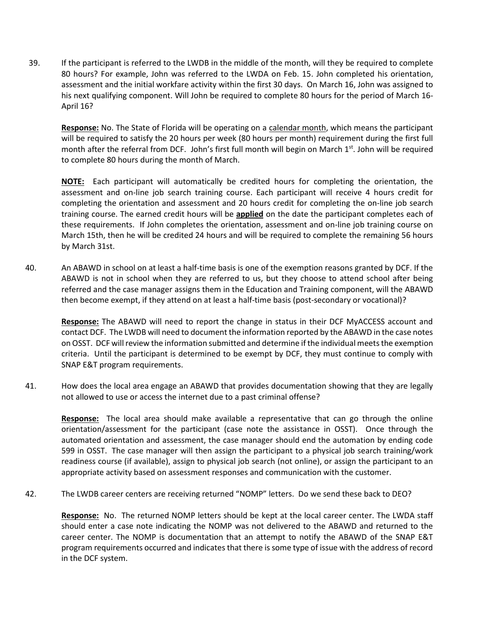39. If the participant is referred to the LWDB in the middle of the month, will they be required to complete 80 hours? For example, John was referred to the LWDA on Feb. 15. John completed his orientation, assessment and the initial workfare activity within the first 30 days. On March 16, John was assigned to his next qualifying component. Will John be required to complete 80 hours for the period of March 16- April 16?

**Response:** No. The State of Florida will be operating on a calendar month, which means the participant will be required to satisfy the 20 hours per week (80 hours per month) requirement during the first full month after the referral from DCF. John's first full month will begin on March 1<sup>st</sup>. John will be required to complete 80 hours during the month of March.

**NOTE:** Each participant will automatically be credited hours for completing the orientation, the assessment and on-line job search training course. Each participant will receive 4 hours credit for completing the orientation and assessment and 20 hours credit for completing the on-line job search training course. The earned credit hours will be **applied** on the date the participant completes each of these requirements. If John completes the orientation, assessment and on-line job training course on March 15th, then he will be credited 24 hours and will be required to complete the remaining 56 hours by March 31st.

40. An ABAWD in school on at least a half-time basis is one of the exemption reasons granted by DCF. If the ABAWD is not in school when they are referred to us, but they choose to attend school after being referred and the case manager assigns them in the Education and Training component, will the ABAWD then become exempt, if they attend on at least a half-time basis (post-secondary or vocational)?

**Response:** The ABAWD will need to report the change in status in their DCF MyACCESS account and contact DCF. The LWDB will need to document the information reported by the ABAWD in the case notes on OSST. DCF will review the information submitted and determine if the individual meets the exemption criteria. Until the participant is determined to be exempt by DCF, they must continue to comply with SNAP E&T program requirements.

41. How does the local area engage an ABAWD that provides documentation showing that they are legally not allowed to use or access the internet due to a past criminal offense?

**Response:** The local area should make available a representative that can go through the online orientation/assessment for the participant (case note the assistance in OSST). Once through the automated orientation and assessment, the case manager should end the automation by ending code 599 in OSST. The case manager will then assign the participant to a physical job search training/work readiness course (if available), assign to physical job search (not online), or assign the participant to an appropriate activity based on assessment responses and communication with the customer.

42. The LWDB career centers are receiving returned "NOMP" letters. Do we send these back to DEO?

**Response:** No. The returned NOMP letters should be kept at the local career center. The LWDA staff should enter a case note indicating the NOMP was not delivered to the ABAWD and returned to the career center. The NOMP is documentation that an attempt to notify the ABAWD of the SNAP E&T program requirements occurred and indicates that there is some type of issue with the address of record in the DCF system.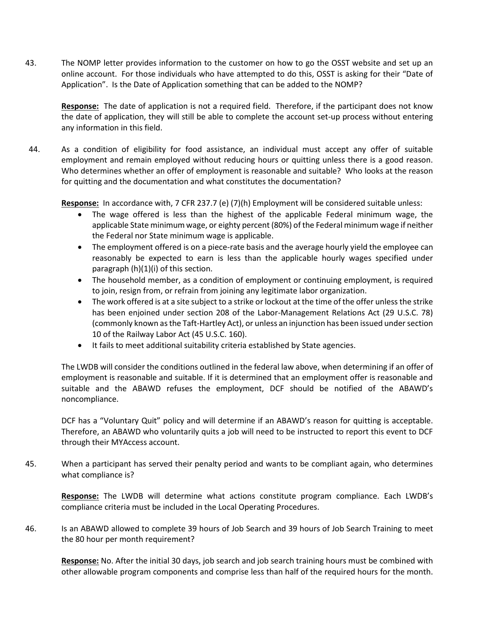43. The NOMP letter provides information to the customer on how to go the OSST website and set up an online account. For those individuals who have attempted to do this, OSST is asking for their "Date of Application". Is the Date of Application something that can be added to the NOMP?

**Response:** The date of application is not a required field. Therefore, if the participant does not know the date of application, they will still be able to complete the account set-up process without entering any information in this field.

44. As a condition of eligibility for food assistance, an individual must accept any offer of suitable employment and remain employed without reducing hours or quitting unless there is a good reason. Who determines whether an offer of employment is reasonable and suitable? Who looks at the reason for quitting and the documentation and what constitutes the documentation?

**Response:** In accordance with, 7 CFR 237.7 (e) (7)(h) Employment will be considered suitable unless:

- The wage offered is less than the highest of the applicable Federal minimum wage, the applicable State minimum wage, or eighty percent (80%) of the Federal minimum wage if neither the Federal nor State minimum wage is applicable.
- The employment offered is on a piece-rate basis and the average hourly yield the employee can reasonably be expected to earn is less than the applicable hourly wages specified under paragraph  $(h)(1)(i)$  of this section.
- The household member, as a condition of employment or continuing employment, is required to join, resign from, or refrain from joining any legitimate labor organization.
- The work offered is at a site subject to a strike or lockout at the time of the offer unless the strike has been enjoined under section 208 of the Labor-Management Relations Act (29 U.S.C. 78) (commonly known as the Taft-Hartley Act), or unless an injunction has been issued under section 10 of the Railway Labor Act (45 U.S.C. 160).
- It fails to meet additional suitability criteria established by State agencies.

The LWDB will consider the conditions outlined in the federal law above, when determining if an offer of employment is reasonable and suitable. If it is determined that an employment offer is reasonable and suitable and the ABAWD refuses the employment, DCF should be notified of the ABAWD's noncompliance.

DCF has a "Voluntary Quit" policy and will determine if an ABAWD's reason for quitting is acceptable. Therefore, an ABAWD who voluntarily quits a job will need to be instructed to report this event to DCF through their MYAccess account.

45. When a participant has served their penalty period and wants to be compliant again, who determines what compliance is?

**Response:** The LWDB will determine what actions constitute program compliance. Each LWDB's compliance criteria must be included in the Local Operating Procedures.

46. Is an ABAWD allowed to complete 39 hours of Job Search and 39 hours of Job Search Training to meet the 80 hour per month requirement?

**Response:** No. After the initial 30 days, job search and job search training hours must be combined with other allowable program components and comprise less than half of the required hours for the month.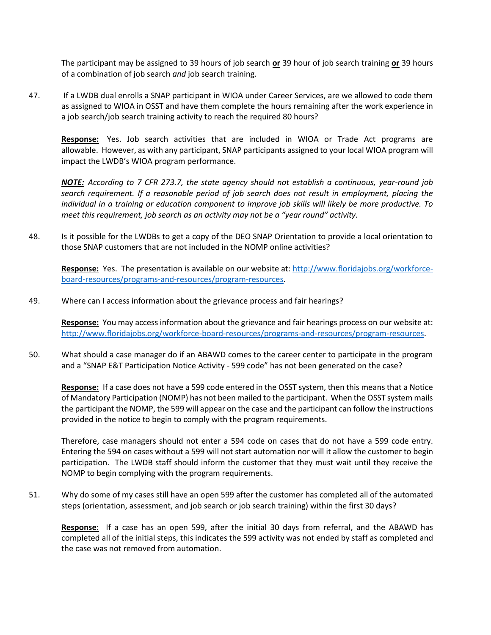The participant may be assigned to 39 hours of job search **or** 39 hour of job search training **or** 39 hours of a combination of job search *and* job search training.

47. If a LWDB dual enrolls a SNAP participant in WIOA under Career Services, are we allowed to code them as assigned to WIOA in OSST and have them complete the hours remaining after the work experience in a job search/job search training activity to reach the required 80 hours?

**Response:** Yes. Job search activities that are included in WIOA or Trade Act programs are allowable. However, as with any participant, SNAP participants assigned to your local WIOA program will impact the LWDB's WIOA program performance.

*NOTE: According to 7 CFR 273.7, the state agency should not establish a continuous, year-round job search requirement. If a reasonable period of job search does not result in employment, placing the individual in a training or education component to improve job skills will likely be more productive. To meet this requirement, job search as an activity may not be a "year round" activity.* 

48. Is it possible for the LWDBs to get a copy of the DEO SNAP Orientation to provide a local orientation to those SNAP customers that are not included in the NOMP online activities?

**Response:** Yes. The presentation is available on our website at: [http://www.floridajobs.org/workforce](http://www.floridajobs.org/workforce-board-resources/programs-and-resources/program-resources)[board-resources/programs-and-resources/program-resources.](http://www.floridajobs.org/workforce-board-resources/programs-and-resources/program-resources)

49. Where can I access information about the grievance process and fair hearings?

**Response:** You may access information about the grievance and fair hearings process on our website at: [http://www.floridajobs.org/workforce-board-resources/programs-and-resources/program-resources.](http://www.floridajobs.org/workforce-board-resources/programs-and-resources/program-resources)

50. What should a case manager do if an ABAWD comes to the career center to participate in the program and a "SNAP E&T Participation Notice Activity - 599 code" has not been generated on the case?

**Response:** If a case does not have a 599 code entered in the OSST system, then this means that a Notice of Mandatory Participation (NOMP) has not been mailed to the participant. When the OSST system mails the participant the NOMP, the 599 will appear on the case and the participant can follow the instructions provided in the notice to begin to comply with the program requirements.

Therefore, case managers should not enter a 594 code on cases that do not have a 599 code entry. Entering the 594 on cases without a 599 will not start automation nor will it allow the customer to begin participation. The LWDB staff should inform the customer that they must wait until they receive the NOMP to begin complying with the program requirements.

51. Why do some of my cases still have an open 599 after the customer has completed all of the automated steps (orientation, assessment, and job search or job search training) within the first 30 days?

**Response**: If a case has an open 599, after the initial 30 days from referral, and the ABAWD has completed all of the initial steps, this indicates the 599 activity was not ended by staff as completed and the case was not removed from automation.